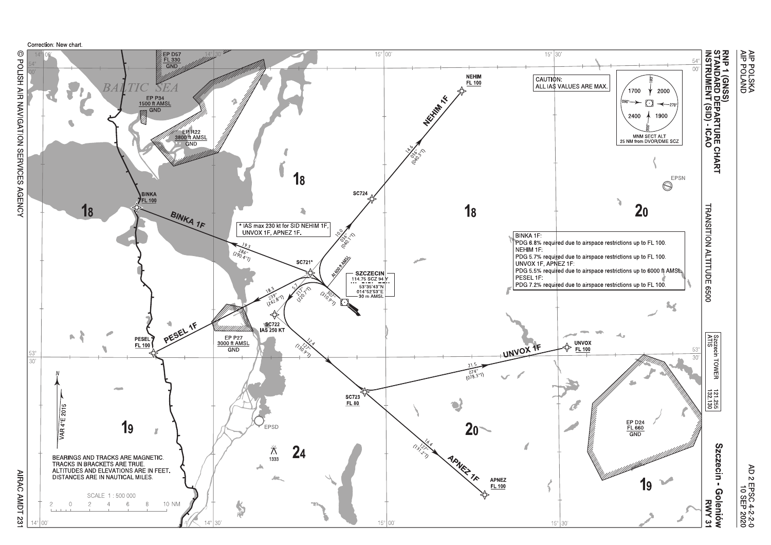

@ POLISH AIR NAVIGATION SERVICES AGENCY

AIRAC AMDT 231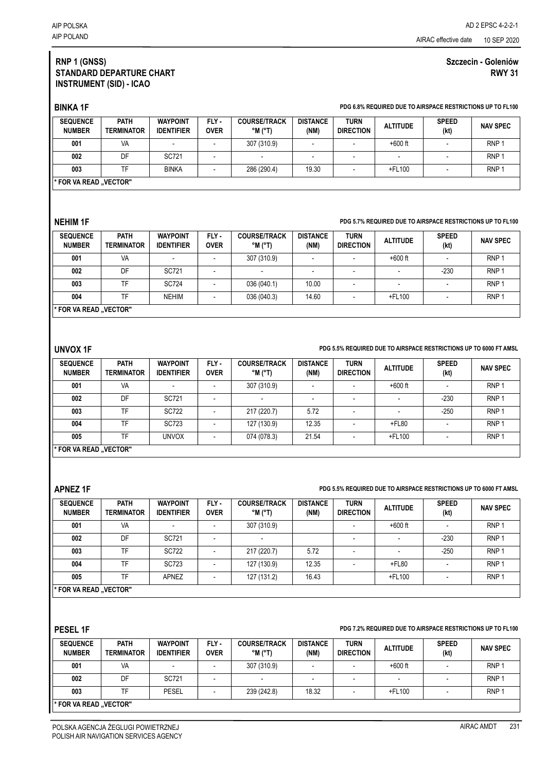# **RNP 1 (GNSS) STANDARD DEPARTURE CHART INSTRUMENT (SID) - ICAO**

# **Szczecin - Goleniów RWY 31**

# **BINKA 1F PDG 6.8% REQUIRED DUE TO AIRSPACE RESTRICTIONS UP TO FL100**

| <b>SEQUENCE</b><br><b>NUMBER</b> | <b>PATH</b><br><b>TERMINATOR</b> | <b>WAYPOINT</b><br><b>IDENTIFIER</b> | FLY-<br>OVER | <b>COURSE/TRACK</b><br>°M (°T) | <b>DISTANCE</b><br>(NM) | <b>TURN</b><br><b>DIRECTION</b> | <b>ALTITUDE</b>          | <b>SPEED</b><br>(kt) | <b>NAV SPEC</b>  |
|----------------------------------|----------------------------------|--------------------------------------|--------------|--------------------------------|-------------------------|---------------------------------|--------------------------|----------------------|------------------|
| 001                              | VA                               |                                      |              | 307 (310.9)                    |                         |                                 | $+600$ ft                |                      | RNP <sup>1</sup> |
| 002                              | DF                               | SC721                                |              | $\overline{\phantom{a}}$       |                         |                                 | $\overline{\phantom{0}}$ |                      | RNP <sup>1</sup> |
| 003                              | ᅚ                                | <b>BINKA</b>                         |              | 286 (290.4)                    | 19.30                   |                                 | +FL100                   |                      | RNP <sup>1</sup> |
| * FOR VA READ "VECTOR"           |                                  |                                      |              |                                |                         |                                 |                          |                      |                  |

### **NEHIM 1F PDG 5.7% REQUIRED DUE TO AIRSPACE RESTRICTIONS UP TO FL100**

| <b>SEQUENCE</b><br><b>NUMBER</b> | <b>PATH</b><br><b>TERMINATOR</b> | <b>WAYPOINT</b><br><b>IDENTIFIER</b> | FLY-<br><b>OVER</b> | <b>COURSE/TRACK</b><br>°M (°T) | <b>DISTANCE</b><br>(NM) | <b>TURN</b><br><b>DIRECTION</b> | <b>ALTITUDE</b> | <b>SPEED</b><br>(kt) | <b>NAV SPEC</b>  |
|----------------------------------|----------------------------------|--------------------------------------|---------------------|--------------------------------|-------------------------|---------------------------------|-----------------|----------------------|------------------|
| 001                              | VA                               |                                      |                     | 307 (310.9)                    |                         |                                 | $+600$ ft       |                      | RNP <sup>1</sup> |
| 002                              | DF                               | SC721                                |                     |                                |                         |                                 |                 | $-230$               | RNP <sup>1</sup> |
| 003                              | TF                               | <b>SC724</b>                         |                     | 036 (040.1)                    | 10.00                   |                                 |                 |                      | RNP <sup>1</sup> |
| 004                              | TF                               | <b>NEHIM</b>                         |                     | 036 (040.3)                    | 14.60                   | ٠                               | +FL100          |                      | RNP <sup>1</sup> |
| "FOR VA READ "VECTOR "           |                                  |                                      |                     |                                |                         |                                 |                 |                      |                  |

### **UNVOX 1F PDG 5.5% REQUIRED DUE TO AIRSPACE RESTRICTIONS UP TO 6000 FT AMSL**

| <b>SEQUENCE</b><br><b>NUMBER</b> | <b>PATH</b><br><b>TERMINATOR</b> | <b>WAYPOINT</b><br><b>IDENTIFIER</b> | FLY -<br><b>OVER</b> | <b>COURSE/TRACK</b><br>$^{\circ}$ M $^{\circ}$ T) | <b>DISTANCE</b><br>(NM) | <b>TURN</b><br><b>DIRECTION</b> | <b>ALTITUDE</b> | <b>SPEED</b><br>(kt) | <b>NAV SPEC</b>  |
|----------------------------------|----------------------------------|--------------------------------------|----------------------|---------------------------------------------------|-------------------------|---------------------------------|-----------------|----------------------|------------------|
| 001                              | VA                               | $\sim$                               |                      | 307 (310.9)                                       |                         |                                 | $+600$ ft       |                      | RNP <sup>:</sup> |
| 002                              | DF                               | SC721                                |                      | $\overline{\phantom{a}}$                          |                         |                                 |                 | $-230$               | RNP <sup>:</sup> |
| 003                              | <b>TF</b>                        | <b>SC722</b>                         |                      | 217 (220.7)                                       | 5.72                    |                                 |                 | $-250$               | RNP              |
| 004                              | TF                               | <b>SC723</b>                         |                      | 127 (130.9)                                       | 12.35                   |                                 | $+$ FL80        |                      | RNP              |
| 005                              | TF                               | <b>UNVOX</b>                         |                      | 074 (078.3)                                       | 21.54                   | -                               | +FL100          |                      | RNP              |
| '* FOR VA READ "VECTOR"          |                                  |                                      |                      |                                                   |                         |                                 |                 |                      |                  |

## **APNEZ 1F PDG 5.5% REQUIRED DUE TO AIRSPACE RESTRICTIONS UP TO 6000 FT AMSL**

| <b>SEQUENCE</b><br><b>NUMBER</b> | PATH<br><b>TERMINATOR</b> | <b>WAYPOINT</b><br><b>IDENTIFIER</b> | FLY-<br><b>OVER</b> | <b>COURSE/TRACK</b><br>°M (°T) | <b>DISTANCE</b><br>(NM) | <b>TURN</b><br><b>DIRECTION</b> | <b>ALTITUDE</b>          | <b>SPEED</b><br>(kt) | <b>NAV SPEC</b>  |
|----------------------------------|---------------------------|--------------------------------------|---------------------|--------------------------------|-------------------------|---------------------------------|--------------------------|----------------------|------------------|
| 001                              | VA                        |                                      |                     | 307 (310.9)                    |                         |                                 | $+600$ ft                |                      | RNP <sub>1</sub> |
| 002                              | DF                        | SC721                                |                     | $\overline{\phantom{a}}$       |                         |                                 | $\overline{\phantom{a}}$ | $-230$               | RNP <sub>1</sub> |
| 003                              | <b>TF</b>                 | <b>SC722</b>                         |                     | 217 (220.7)                    | 5.72                    |                                 | $\overline{\phantom{a}}$ | $-250$               | RNP <sub>1</sub> |
| 004                              | TF                        | <b>SC723</b>                         |                     | 127 (130.9)                    | 12.35                   |                                 | $+$ FL80                 |                      | RNP <sub>1</sub> |
| 005                              | TF                        | <b>APNEZ</b>                         |                     | 127 (131.2)                    | 16.43                   |                                 | +FL100                   |                      | RNP <sub>1</sub> |
| * FOR VA READ "VECTOR"           |                           |                                      |                     |                                |                         |                                 |                          |                      |                  |

# **PESEL 1F PDG 7.2% REQUIRED DUE TO AIRSPACE RESTRICTIONS UP TO FL100**

| <b>SEQUENCE</b><br><b>NUMBER</b> | <b>PATH</b><br><b>TERMINATOR</b> | <b>WAYPOINT</b><br><b>IDENTIFIER</b> | FLY-<br><b>OVER</b> | <b>COURSE/TRACK</b><br>$^{\circ}$ M ( $^{\circ}$ T) | <b>DISTANCE</b><br>(NM) | <b>TURN</b><br><b>DIRECTION</b> | <b>ALTITUDE</b> | <b>SPEED</b><br>(kt) | <b>NAV SPEC</b>  |
|----------------------------------|----------------------------------|--------------------------------------|---------------------|-----------------------------------------------------|-------------------------|---------------------------------|-----------------|----------------------|------------------|
| 001                              | VA                               |                                      |                     | 307 (310.9)                                         |                         |                                 | $+600$ ft       |                      | RNP <sup>1</sup> |
| 002                              | DF                               | SC721                                |                     |                                                     |                         |                                 | -               |                      | RNP <sup>1</sup> |
| 003                              | TF                               | PESEL                                |                     | 239 (242.8)                                         | 18.32                   |                                 | +FL100          |                      | RNP <sup>1</sup> |
| <b>FOR VA READ "VECTOR"</b>      |                                  |                                      |                     |                                                     |                         |                                 |                 |                      |                  |

POLSKA AGENCJA ŻEGLUGI POWIETRZNEJ POLISH AIR NAVIGATION SERVICES AGENCY